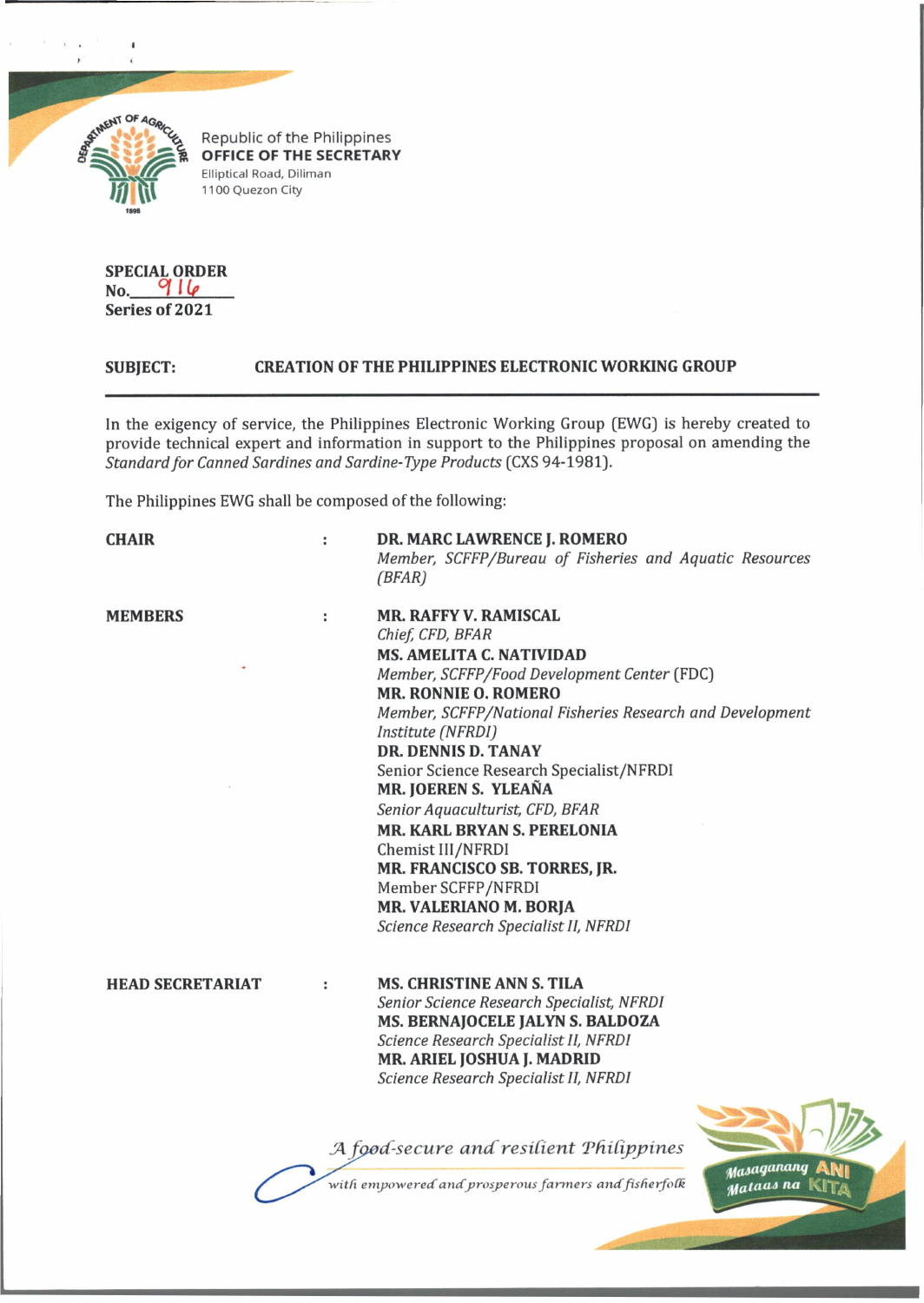

I

Republic of the Philippines **OFFICE OF THE SECRETARY** Elliptical Road, Diliman 1100 Quezon City

**SPECIAL ORDER No.** *°l Up* **Series of 2021**

## **SUBJECT: CREATION OF THE PHILIPPINES ELECTRONIC WORKING GROUP**

In the exigency of service, the Philippines Electronic Working Group (EWG) is hereby created to provide technical expert and information in support to the Philippines proposal on amending the *Standard for Canned Sardines and Sardine-Type Products* (CXS 94-1981).

The Philippines EWG shall be composed of the following:

**CHAIR : DR. MARC LAWRENCE J. ROMERO**

*(BFAR)* **MEMBERS : MR. RAFFY V. RAMISCAL** *Chief CFD, BFAR* **MS. AMELITA C. NATIVIDAD** *Member, SCFFP/Food Development Center* (FDC) **MR. RONNIE 0. ROMERO** *Member, SCFFP/National Fisheries Research and Development Institute (NFRDI]* **DR. DENNIS D. TANAY** Senior Science Research Specialist/NFRDI **MR. JOEREN S. YLEANA** *Senior Aquaculturist, CFD, BFAR* **MR. KARL BRYAN S. PERELONIA** Chemist 1II/NFRDI **MR. FRANCISCO SB. TORRES, JR.** Member SCFFP/NFRDI **MR. VALERIANO M. BORJA** *Science Research Specialist II, NFRDI*

*Member, SCFFP/Bureau of Fisheries and Aquatic Resources*

**HEAD SECRETARIAT : MS. CHRISTINE ANN S. TILA** *Senior Science Research Specialist, NFRDI* **MS. BERNAJOCELE JALYN S. BALDOZA** *Science Research Specialist II, NFRDI* **MR. ARIEL JOSHUA J. MADRID** *Science Research Specialist II, NFRDI*

A food-secure and resilient Philippines



with empowered and prosperous farmers and fisherfolk